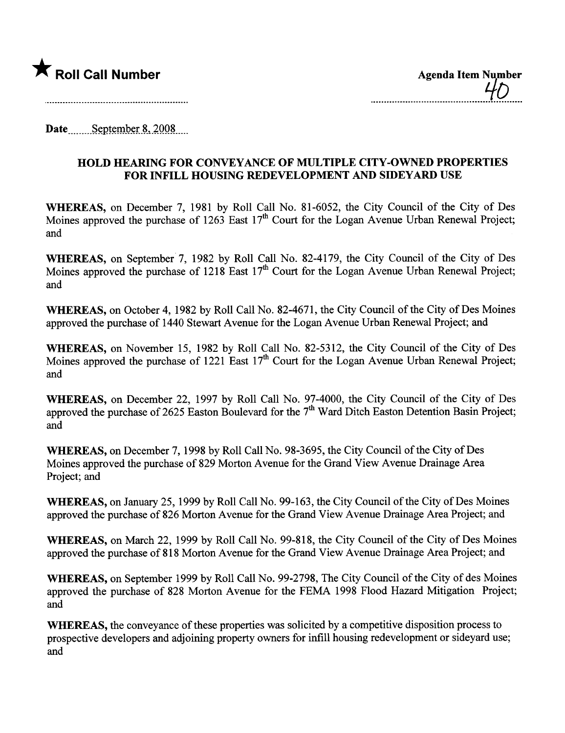

Date.m n...s-~P.t~mJ?~LR-.\_~QQ~\_\_m

## HOLD HEARING FOR CONVEYANCE OF MULTIPLE CITY-OWNED PROPERTIES FOR INFILL HOUSING REDEVELOPMENT AND SIDEYARD USE

WHEREAS, on December 7, 1981 by Roll Call No. 81-6052, the City Council of the City of Des Moines approved the purchase of 1263 East  $17<sup>th</sup>$  Court for the Logan Avenue Urban Renewal Project; and

WHEREAS, on September 7, 1982 by Roll Call No. 82-4179, the City Council of the City of Des Moines approved the purchase of 1218 East  $17<sup>th</sup>$  Court for the Logan Avenue Urban Renewal Project; and

WHEREAS, on October 4, 1982 by Roll Call No. 82-4671, the City Council of the City of Des Moines approved the purchase of 1440 Stewart Avenue for the Logan Avenue Urban Renewal Project; and

WHEREAS, on November 15, 1982 by Roll Call No. 82-5312, the City Council of the City of Des Moines approved the purchase of 1221 East  $17<sup>th</sup>$  Court for the Logan Avenue Urban Renewal Project; and

WHEREAS, on December 22, 1997 by Roll Call No. 97-4000, the City Council of the City of Des approved the purchase of 2625 Easton Boulevard for the  $7<sup>th</sup>$  Ward Ditch Easton Detention Basin Project; and

WHEREAS, on December 7, 1998 by Roll Call No. 98-3695, the City Council of the City of Des Moines approved the purchase of 829 Morton A venue for the Grand View A venue Drainage Area Project; and

WHEREAS, on January 25, 1999 by Roll Call No. 99-163, the City Council of the City of Des Moines approved the purchase of 826 Morton Avenue for the Grand View Avenue Drainage Area Project; and

WHEREAS, on March 22, 1999 by Roll Call No. 99-818, the City Council of the City of Des Moines approved the purchase of 818 Morton Avenue for the Grand View Avenue Drainage Area Project; and

WHEREAS, on September 1999 by Roll Call No. 99-2798, The City Council of the City of des Moines approved the purchase of 828 Morton Avenue for the FEMA 1998 Flood Hazard Mitigation Project; and

WHEREAS, the conveyance of these properties was solicited by a competitive disposition process to prospective developers and adjoining property owners for infll housing redevelopment or sideyard use; and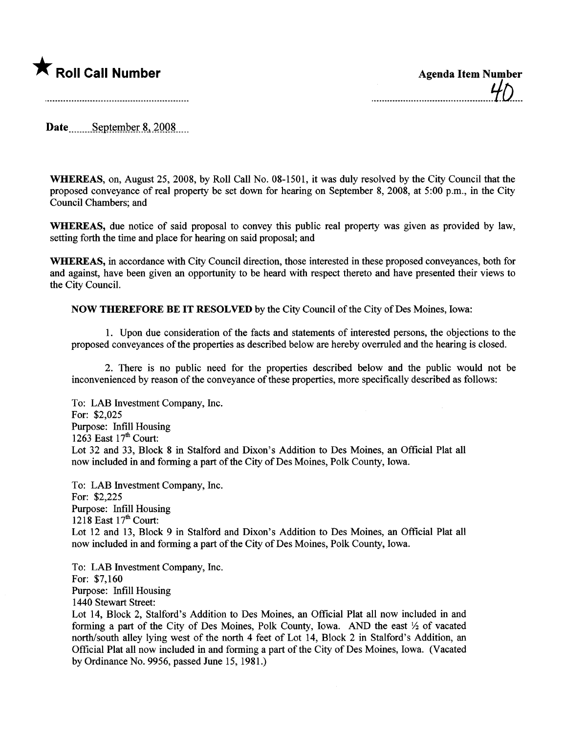

Date September 8, 2008

WHEREAS, on, August 25,2008, by Roll Call No. 08-1501, it was duly resolved by the City Council that the proposed conveyance of real property be set down for hearing on September 8, 2008, at 5:00 p.m., in the City Council Chambers; and

WHEREAS, due notice of said proposal to convey this public real property was given as provided by law, setting forth the time and place for hearing on said proposal; and

WHREAS, in accordance with City Council direction, those interested in these proposed conveyances, both for and against, have been given an opportnity to be heard with respect thereto and have presented their views to the City CounciL.

NOW THEREFORE BE IT RESOLVED by the City Council of the City of Des Moines, Iowa:

1. Upon due consideration of the facts and statements of interested persons, the objections to the proposed conveyances of the properties as described below are hereby overruled and the hearing is closed.

2. There is no public need for the properties described below and the public would not be inconvenienced by reason of the conveyance of these properties, more specifically described as follows:

To: LAB Investment Company, Inc. For: \$2,025 Purpose: Infill Housing 1263 East  $17<sup>th</sup>$  Court: Lot 32 and 33, Block 8 in Stalford and Dixon's Addition to Des Moines, an Official Plat all now included in and forming a part of the City of Des Moines, Polk County, Iowa.

To: LAB Investment Company, Inc. For: \$2,225 Purose: Infill Housing 1218 East  $17<sup>th</sup>$  Court: Lot 12 and 13, Block 9 in Stalford and Dixon's Addition to Des Moines, an Official Plat all now included in and forming a part of the City of Des Moines, Polk County, Iowa.

To: LAB Investment Company, Inc. For: \$7,160 Purpose: Infill Housing 1440 Stewart Street:

Lot 14, Block 2, Stalford's Addition to Des Moines, an Official Plat all now included in and forming a part of the City of Des Moines, Polk County, Iowa. AND the east  $\frac{1}{2}$  of vacated north/south alley lying west of the north 4 feet of Lot 14, Block 2 in Stalford's Addition, an Official Plat all now included in and forming a par of the City of Des Moines, Iowa. (Vacated by Ordinance No. 9956, passed June 15, 1981.)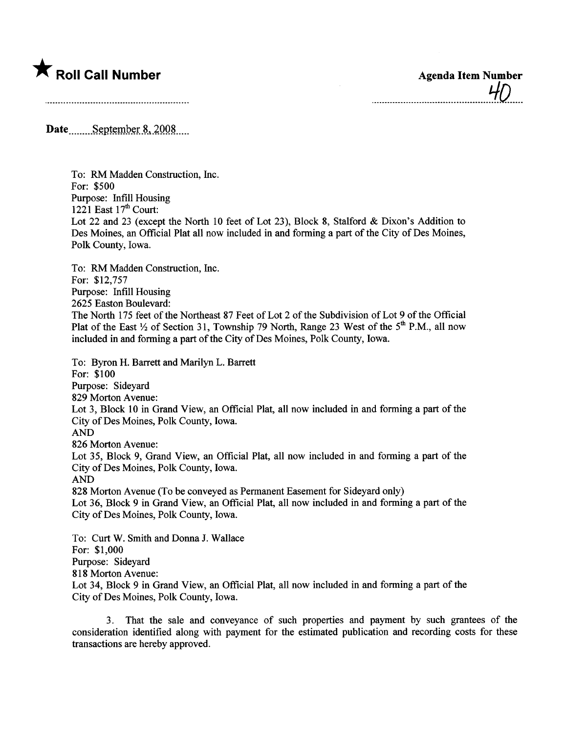

...\_..\_\_\_\_\_\_.\_\_\_\_\_\_...\_.....................~D.....

Date September 8, 2008

To: RM Madden Construction, Inc. For: \$500 Purpose: Infill Housing 1221 East  $17<sup>th</sup>$  Court: Lot 22 and 23 (except the North 10 feet of Lot 23), Block 8, Stalford & Dixon's Addition to Des Moines, an Official Plat all now included in and forming a part of the City of Des Moines, Polk County, Iowa.

To: RM Madden Construction, Inc. For: \$12,757 Purpose: Infill Housing 2625 Easton Boulevard: The North 175 feet of the Northeast 87 Feet of Lot 2 of the Subdivision of Lot 9 of the Offcial Plat of the East  $\frac{1}{2}$  of Section 31, Township 79 North, Range 23 West of the 5<sup>th</sup> P.M., all now included in and forming a part of the City of Des Moines, Polk County, Iowa.

To: Byron H. Barrett and Marilyn L. Barett For: \$100 Purpose: Sideyard 829 Morton Avenue: Lot 3, Block 10 in Grand View, an Official Plat, all now included in and forming a part of the City of Des Moines, Polk County, Iowa. AND 826 Morton Avenue: Lot 35, Block 9, Grand View, an Official Plat, all now included in and forming a part of the City of Des Moines, Polk County, Iowa. AND 828 Morton Avenue (To be conveyed as Permanent Easement for Sideyard only) Lot 36, Block 9 in Grand View, an Official Plat, all now included in and forming a part of the City of Des Moines, Polk County, Iowa. To: Curt W. Smith and Donna J. Wallace For: \$1,000 Purpose: Sideyard

818 Morton Avenue:

Lot 34, Block 9 in Grand View, an Official Plat, all now included in and forming a part of the City of Des Moines, Polk County, Iowa.

3. That the sale and conveyance of such properties and payment by such grantees of the consideration identified along with payment for the estimated publication and recording costs for these transactions are hereby approved.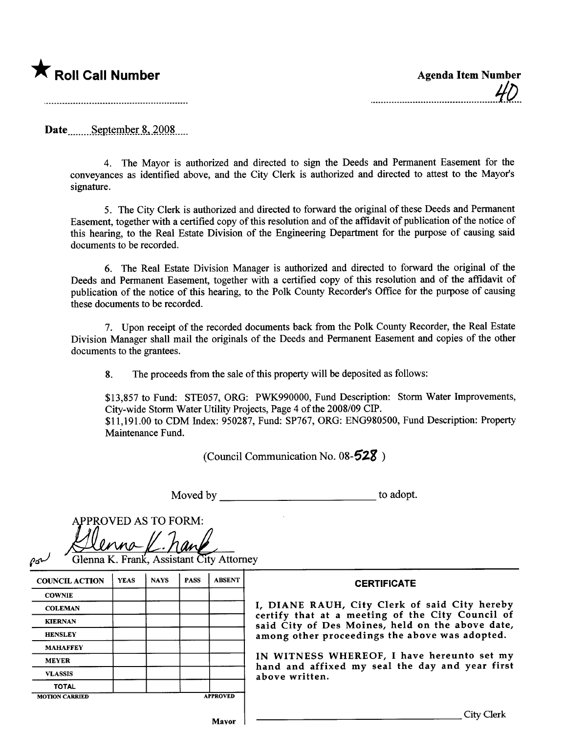

Date September 8, 2008

4. The Mayor is authorized and directed to sign the Deeds and Permanent Easement for the conveyances as identified above, and the City Clerk is authorized and directed to attest to the Mayor's signature.

5. The City Clerk is authorized and directed to forward the original of these Deeds and Permanent Easement, together with a certified copy of this resolution and of the affidavit of publication of the notice of this hearing, to the Real Estate Division of the Engineering Department for the purpose of causing said documents to be recorded.

6. The Real Estate Division Manager is authorized and directed to forward the original of the Deeds and Permanent Easement, together with a certified copy of this resolution and of the affdavit of publication of the notice of this hearing, to the Polk County Recorder's Office for the purpose of causing these documents to be recorded.

7. Upon receipt of the recorded documents back from the Polk County Recorder, the Real Estate Division Manager shall mail the originals of the Deeds and Permanent Easement and copies of the other documents to the grantees.

8. The proceeds from the sale of this property will be deposited as follows:

\$13,857 to Fund: STE057, ORG: PWK990000, Fund Description: Storm Water Improvements, City-wide Storm Water Utility Projects, Page 4 of the 2008/09 CIP. \$11,191.00 to CDM Index: 950287, Fund: SP767, ORG: ENG980500, Fund Description: Propert Maintenance Fund.

(Council Communication No.  $08-528$ )

Moved by to adopt.

APPROVED AS TO FORM:<br>Alemna L. hang

| <b>COUNCIL ACTION</b> | <b>YEAS</b> | <b>NAYS</b> | <b>PASS</b> | <b>ABSENT</b>   |  |
|-----------------------|-------------|-------------|-------------|-----------------|--|
| <b>COWNIE</b>         |             |             |             |                 |  |
| <b>COLEMAN</b>        |             |             |             |                 |  |
| <b>KIERNAN</b>        |             |             |             |                 |  |
| <b>HENSLEY</b>        |             |             |             |                 |  |
| <b>MAHAFFEY</b>       |             |             |             |                 |  |
| <b>MEYER</b>          |             |             |             |                 |  |
| <b>VLASSIS</b>        |             |             |             |                 |  |
| <b>TOTAL</b>          |             |             |             |                 |  |
| <b>MOTION CARRIED</b> |             |             |             | <b>APPROVED</b> |  |

## **CERTIFICATE**

DIANE RAUH, City Clerk of said City hereby tify that at a meeting of the City Council of d City of Des Moines, held on the above date, ong other proceedings the above was adopted.

WITNESS WHEREOF, I have hereunto set my hand and affixed my seal the day and year first ove written.

Mavor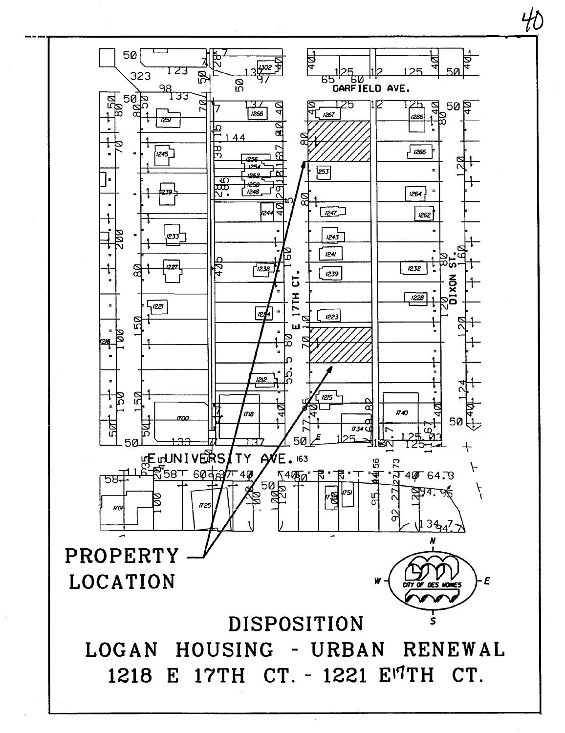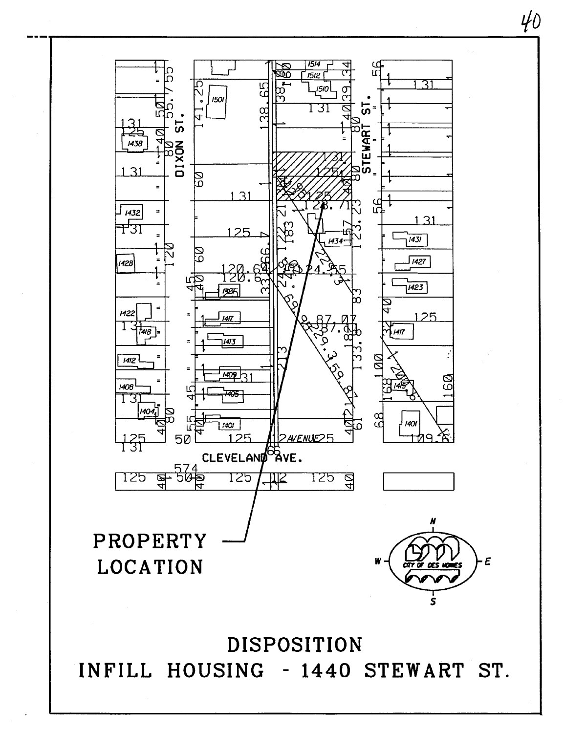

 $40<sup>°</sup>$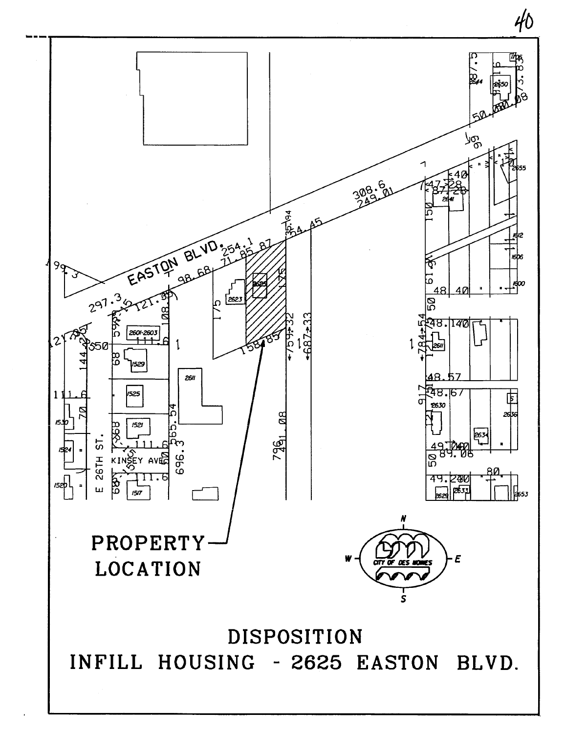